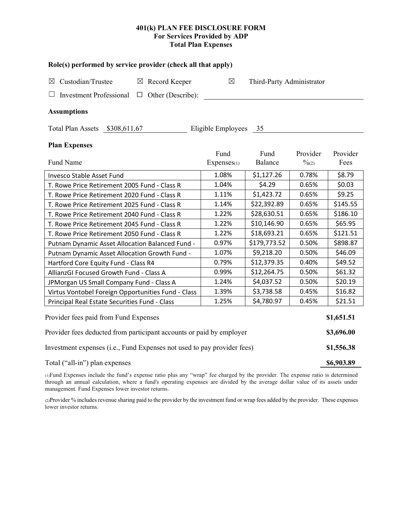# **401(k) PLAN FEE DISCLOSURE FORM For Services Provided by ADP Total Plan Expenses**

| Role(s) performed by service provider (check all that apply)            |       |                       |                           |                   |            |
|-------------------------------------------------------------------------|-------|-----------------------|---------------------------|-------------------|------------|
| $\boxtimes$ Record Keeper<br>Custodian/Trustee<br>$\boxtimes$           |       | $\boxtimes$           | Third-Party Administrator |                   |            |
| <b>Investment Professional</b><br>$\Box$ Other (Describe):              |       |                       |                           |                   |            |
| <b>Assumptions</b>                                                      |       |                       |                           |                   |            |
| Total Plan Assets \$308,611.67                                          |       | Eligible Employees 35 |                           |                   |            |
| <b>Plan Expenses</b>                                                    |       |                       |                           |                   |            |
|                                                                         |       | Fund                  | Fund                      | Provider          | Provider   |
| Fund Name                                                               |       | Expenses(1)           | Balance                   | $\frac{0}{2}$ (2) | Fees       |
| Invesco Stable Asset Fund                                               |       | 1.08%                 | \$1,127.26                | 0.78%             | \$8.79     |
| T. Rowe Price Retirement 2005 Fund - Class R                            |       | 1.04%                 | \$4.29                    | 0.65%             | \$0.03     |
| T. Rowe Price Retirement 2020 Fund - Class R                            | 1.11% | \$1,423.72            | 0.65%                     | \$9.25            |            |
| T. Rowe Price Retirement 2025 Fund - Class R                            |       | 1.14%                 | \$22,392.89               | 0.65%             | \$145.55   |
| T. Rowe Price Retirement 2040 Fund - Class R                            | 1.22% | \$28,630.51           | 0.65%                     | \$186.10          |            |
| T. Rowe Price Retirement 2045 Fund - Class R                            | 1.22% | \$10,146.90           | 0.65%                     | \$65.95           |            |
| T. Rowe Price Retirement 2050 Fund - Class R                            | 1.22% | \$18,693.21           | 0.65%                     | \$121.51          |            |
| Putnam Dynamic Asset Allocation Balanced Fund -                         | 0.97% | \$179,773.52          | 0.50%                     | \$898.87          |            |
| Putnam Dynamic Asset Allocation Growth Fund -                           | 1.07% | \$9,218.20            | 0.50%                     | \$46.09           |            |
| Hartford Core Equity Fund - Class R4                                    |       | 0.79%                 | \$12,379.35               | 0.40%             | \$49.52    |
| AllianzGI Focused Growth Fund - Class A                                 | 0.99% | \$12,264.75           | 0.50%                     | \$61.32           |            |
| JPMorgan US Small Company Fund - Class A                                | 1.24% | \$4,037.52            | 0.50%                     | \$20.19           |            |
| Virtus Vontobel Foreign Opportunities Fund - Class                      |       | 1.39%                 | \$3,738.58                | 0.45%             | \$16.82    |
| Principal Real Estate Securities Fund - Class                           |       | 1.25%                 | \$4,780.97                | 0.45%             | \$21.51    |
| Provider fees paid from Fund Expenses                                   |       |                       |                           |                   |            |
| Provider fees deducted from participant accounts or paid by employer    |       |                       |                           |                   |            |
| Investment expenses (i.e., Fund Expenses not used to pay provider fees) |       |                       |                           |                   | \$1,556.38 |
| Total ("all-in") plan expenses                                          |       |                       |                           |                   |            |

(1)Fund Expenses include the fund's expense ratio plus any "wrap" fee charged by the provider. The expense ratio is determined through an annual calculation, where a fund's operating expenses are divided by the average dollar value of its assets under management. Fund Expenses lower investor returns.

(2)Provider % includes revenue sharing paid to the provider by the investment fund or wrap fees added by the provider. These expenses lower investor returns.